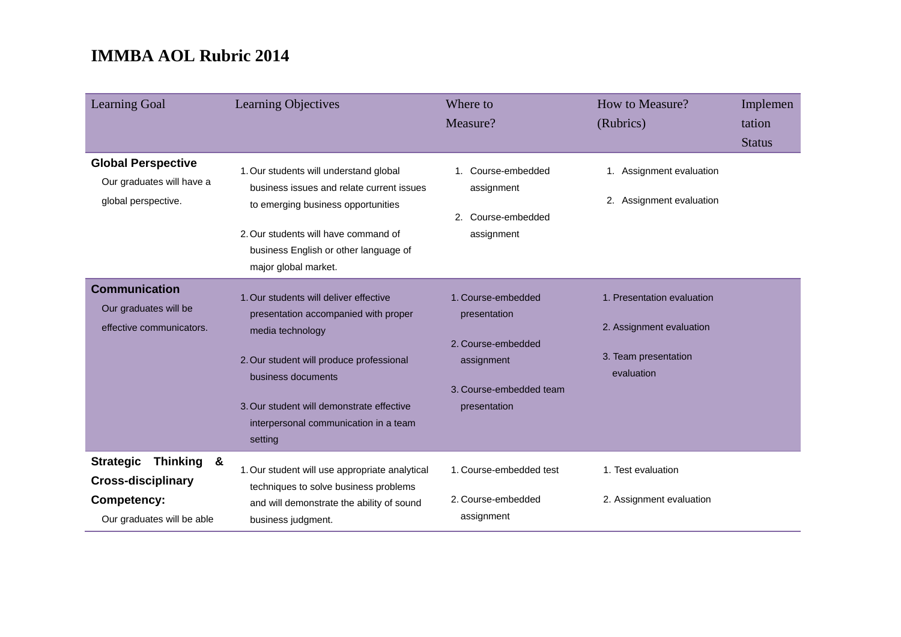| <b>Learning Goal</b>                                                                                                                 | <b>Learning Objectives</b>                                                                                                                                                                                                                                            | Where to<br>Measure?                                                                                              | How to Measure?<br>(Rubrics)                                                                 | Implemen<br>tation<br><b>Status</b> |
|--------------------------------------------------------------------------------------------------------------------------------------|-----------------------------------------------------------------------------------------------------------------------------------------------------------------------------------------------------------------------------------------------------------------------|-------------------------------------------------------------------------------------------------------------------|----------------------------------------------------------------------------------------------|-------------------------------------|
| <b>Global Perspective</b><br>Our graduates will have a<br>global perspective.                                                        | 1. Our students will understand global<br>business issues and relate current issues<br>to emerging business opportunities<br>2. Our students will have command of<br>business English or other language of<br>major global market.                                    | 1. Course-embedded<br>assignment<br>Course-embedded<br>2.<br>assignment                                           | 1. Assignment evaluation<br>2. Assignment evaluation                                         |                                     |
| <b>Communication</b><br>Our graduates will be<br>effective communicators.                                                            | 1. Our students will deliver effective<br>presentation accompanied with proper<br>media technology<br>2. Our student will produce professional<br>business documents<br>3. Our student will demonstrate effective<br>interpersonal communication in a team<br>setting | 1. Course-embedded<br>presentation<br>2. Course-embedded<br>assignment<br>3. Course-embedded team<br>presentation | 1. Presentation evaluation<br>2. Assignment evaluation<br>3. Team presentation<br>evaluation |                                     |
| <b>Thinking</b><br><b>Strategic</b><br><u>&amp;</u><br><b>Cross-disciplinary</b><br><b>Competency:</b><br>Our graduates will be able | 1. Our student will use appropriate analytical<br>techniques to solve business problems<br>and will demonstrate the ability of sound<br>business judgment.                                                                                                            | 1. Course-embedded test<br>2. Course-embedded<br>assignment                                                       | 1. Test evaluation<br>2. Assignment evaluation                                               |                                     |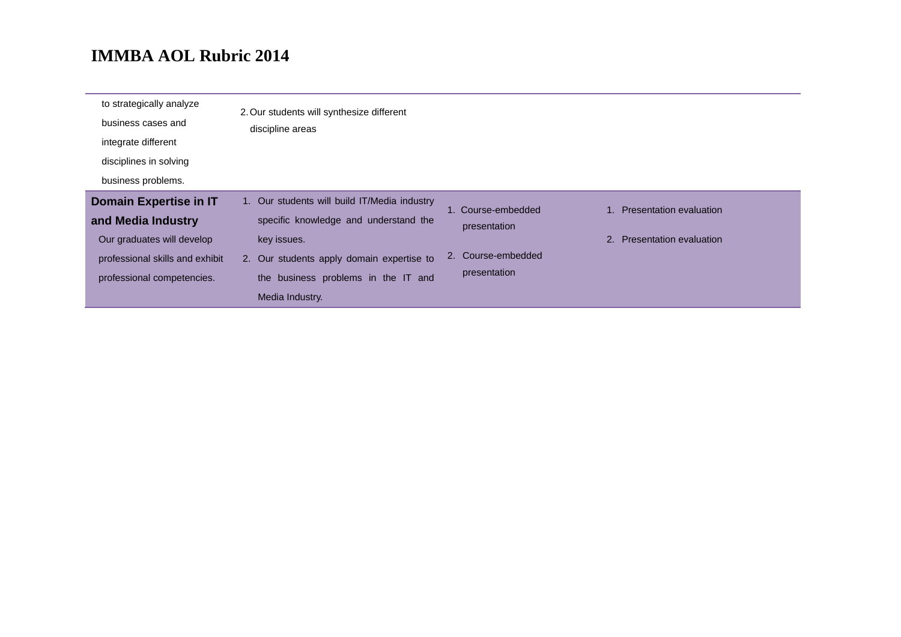| to strategically analyze<br>business cases and | 2. Our students will synthesize different    |                    |                            |
|------------------------------------------------|----------------------------------------------|--------------------|----------------------------|
| integrate different                            | discipline areas                             |                    |                            |
| disciplines in solving                         |                                              |                    |                            |
| business problems.                             |                                              |                    |                            |
| <b>Domain Expertise in IT</b>                  | 1. Our students will build IT/Media industry | 1. Course-embedded | 1. Presentation evaluation |
| and Media Industry                             | specific knowledge and understand the        | presentation       |                            |
| Our graduates will develop                     | key issues.                                  |                    | 2. Presentation evaluation |
| professional skills and exhibit                | 2. Our students apply domain expertise to    | 2. Course-embedded |                            |
| professional competencies.                     | the business problems in the IT and          | presentation       |                            |
|                                                | Media Industry.                              |                    |                            |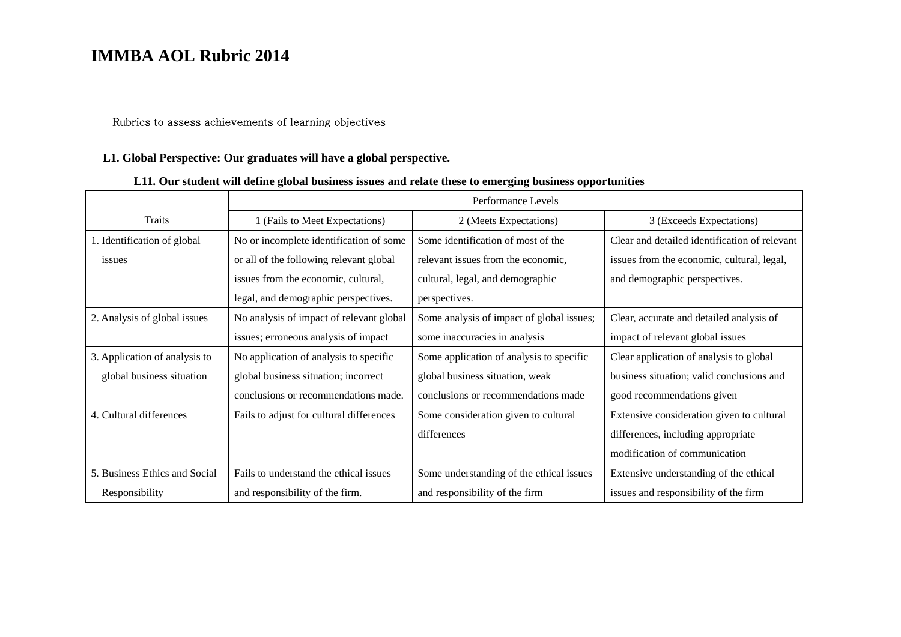#### Rubrics to assess achievements of learning objectives

#### **L1. Global Perspective: Our graduates will have a global perspective.**

### **L11. Our student will define global business issues and relate these to emerging business opportunities**

|                               | Performance Levels                       |                                           |                                               |
|-------------------------------|------------------------------------------|-------------------------------------------|-----------------------------------------------|
| Traits                        | 1 (Fails to Meet Expectations)           | 2 (Meets Expectations)                    | 3 (Exceeds Expectations)                      |
| 1. Identification of global   | No or incomplete identification of some  | Some identification of most of the        | Clear and detailed identification of relevant |
| issues                        | or all of the following relevant global  | relevant issues from the economic,        | issues from the economic, cultural, legal,    |
|                               | issues from the economic, cultural,      | cultural, legal, and demographic          | and demographic perspectives.                 |
|                               | legal, and demographic perspectives.     | perspectives.                             |                                               |
| 2. Analysis of global issues  | No analysis of impact of relevant global | Some analysis of impact of global issues; | Clear, accurate and detailed analysis of      |
|                               | issues; erroneous analysis of impact     | some inaccuracies in analysis             | impact of relevant global issues              |
| 3. Application of analysis to | No application of analysis to specific   | Some application of analysis to specific  | Clear application of analysis to global       |
| global business situation     | global business situation; incorrect     | global business situation, weak           | business situation; valid conclusions and     |
|                               | conclusions or recommendations made.     | conclusions or recommendations made       | good recommendations given                    |
| 4. Cultural differences       | Fails to adjust for cultural differences | Some consideration given to cultural      | Extensive consideration given to cultural     |
|                               |                                          | differences                               | differences, including appropriate            |
|                               |                                          |                                           | modification of communication                 |
| 5. Business Ethics and Social | Fails to understand the ethical issues   | Some understanding of the ethical issues  | Extensive understanding of the ethical        |
| Responsibility                | and responsibility of the firm.          | and responsibility of the firm            | issues and responsibility of the firm         |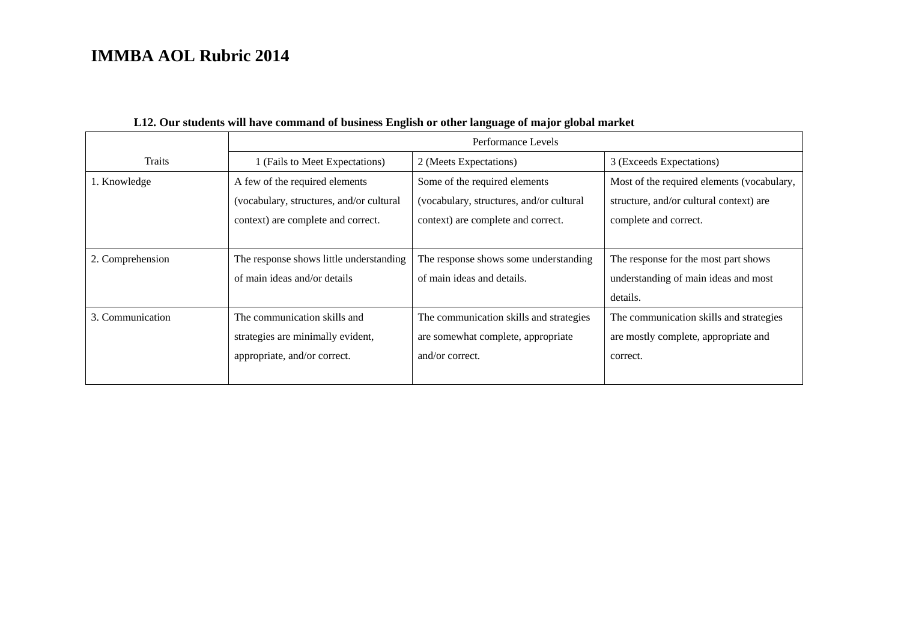|                  | Performance Levels                       |                                          |                                            |  |
|------------------|------------------------------------------|------------------------------------------|--------------------------------------------|--|
| Traits           | 1 (Fails to Meet Expectations)           | 2 (Meets Expectations)                   | 3 (Exceeds Expectations)                   |  |
| 1. Knowledge     | A few of the required elements           | Some of the required elements            | Most of the required elements (vocabulary, |  |
|                  | (vocabulary, structures, and/or cultural | (vocabulary, structures, and/or cultural | structure, and/or cultural context) are    |  |
|                  | context) are complete and correct.       | context) are complete and correct.       | complete and correct.                      |  |
|                  |                                          |                                          |                                            |  |
| 2. Comprehension | The response shows little understanding  | The response shows some understanding    | The response for the most part shows       |  |
|                  | of main ideas and/or details             | of main ideas and details.               | understanding of main ideas and most       |  |
|                  |                                          |                                          | details.                                   |  |
| 3. Communication | The communication skills and             | The communication skills and strategies  | The communication skills and strategies    |  |
|                  | strategies are minimally evident,        | are somewhat complete, appropriate       | are mostly complete, appropriate and       |  |
|                  | appropriate, and/or correct.             | and/or correct.                          | correct.                                   |  |
|                  |                                          |                                          |                                            |  |

### **L12. Our students will have command of business English or other language of major global market**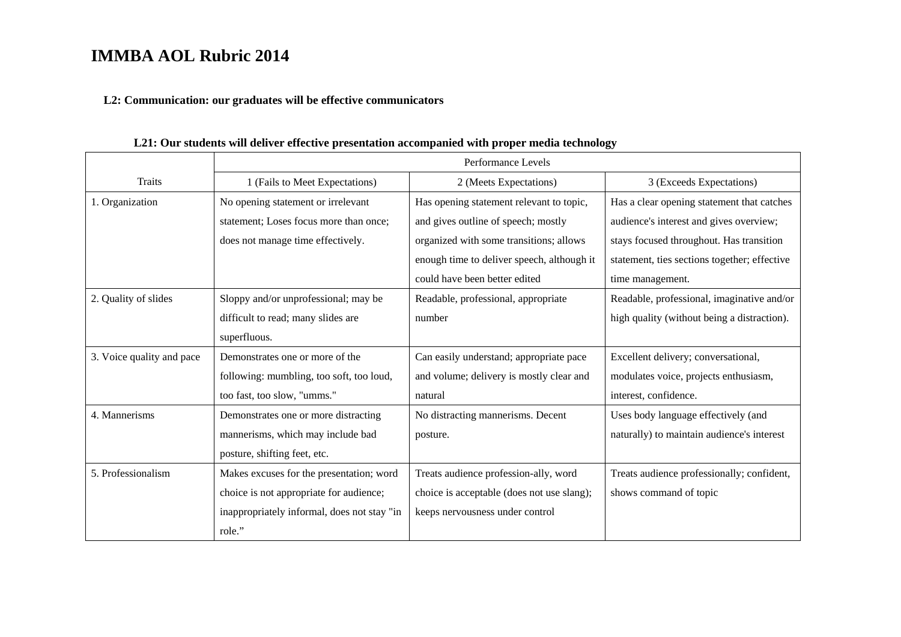#### **L2: Communication: our graduates will be effective communicators**

Traits Performance Levels 1 (Fails to Meet Expectations) 2 (Meets Expectations) 3 (Exceeds Expectations) 1. Organization No opening statement or irrelevant statement; Loses focus more than once; does not manage time effectively. Has opening statement relevant to topic, and gives outline of speech; mostly organized with some transitions; allows enough time to deliver speech, although it could have been better editedHas a clear opening statement that catches audience's interest and gives overview; stays focused throughout. Has transition statement, ties sections together; effective time management. 2. Quality of slides Sloppy and/or unprofessional; may be difficult to read; many slides are superfluous. Readable, professional, appropriate number Readable, professional, imaginative and/or high quality (without being a distraction). 3. Voice quality and pace Demonstrates one or more of the following: mumbling, too soft, too loud, too fast, too slow, "umms." Can easily understand; appropriate pace and volume; delivery is mostly clear and natural Excellent delivery; conversational, modulates voice, projects enthusiasm, interest, confidence. 4. Mannerisms Demonstrates one or more distracting mannerisms, which may include bad posture, shifting feet, etc. No distracting mannerisms. Decent posture. Uses body language effectively (and naturally) to maintain audience's interest 5. Professionalism Makes excuses for the presentation; word choice is not appropriate for audience; inappropriately informal, does not stay "in role." Treats audience profession-ally, word choice is acceptable (does not use slang); keeps nervousness under control Treats audience professionally; confident, shows command of topic

**L21: Our students will deliver effective presentation accompanied with proper media technology**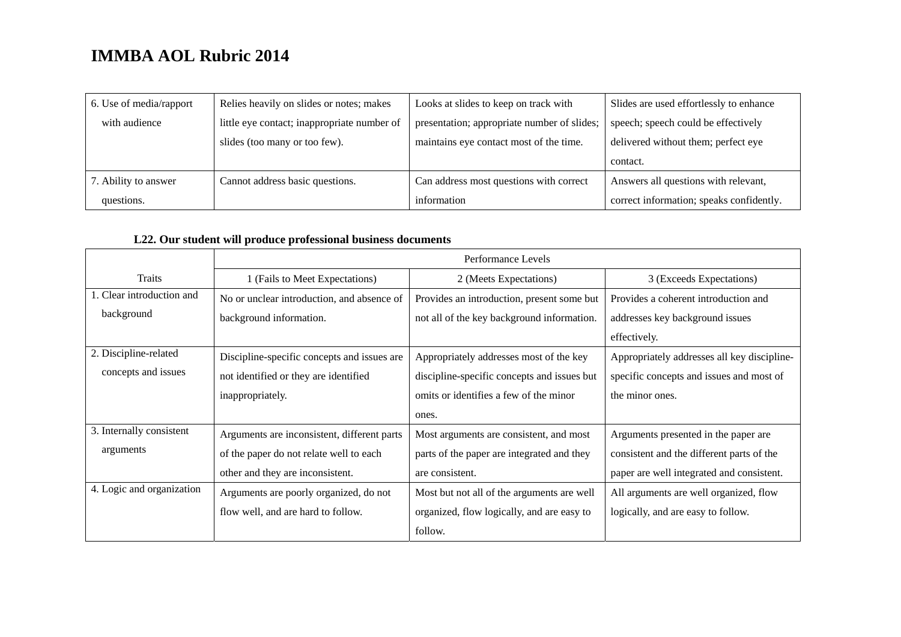| 6. Use of media/rapport | Relies heavily on slides or notes; makes    | Looks at slides to keep on track with       | Slides are used effortlessly to enhance  |
|-------------------------|---------------------------------------------|---------------------------------------------|------------------------------------------|
| with audience           | little eye contact; inappropriate number of | presentation; appropriate number of slides; | speech; speech could be effectively      |
|                         | slides (too many or too few).               | maintains eye contact most of the time.     | delivered without them; perfect eye      |
|                         |                                             |                                             | contact.                                 |
| 7. Ability to answer    | Cannot address basic questions.             | Can address most questions with correct     | Answers all questions with relevant,     |
| questions.              |                                             | information                                 | correct information; speaks confidently. |

### **L22. Our student will produce professional business documents**

|                           | Performance Levels                          |                                             |                                             |
|---------------------------|---------------------------------------------|---------------------------------------------|---------------------------------------------|
| Traits                    | 1 (Fails to Meet Expectations)              | 2 (Meets Expectations)                      | 3 (Exceeds Expectations)                    |
| 1. Clear introduction and | No or unclear introduction, and absence of  | Provides an introduction, present some but  | Provides a coherent introduction and        |
| background                | background information.                     | not all of the key background information.  | addresses key background issues             |
|                           |                                             |                                             | effectively.                                |
| 2. Discipline-related     | Discipline-specific concepts and issues are | Appropriately addresses most of the key     | Appropriately addresses all key discipline- |
| concepts and issues       | not identified or they are identified       | discipline-specific concepts and issues but | specific concepts and issues and most of    |
|                           | inappropriately.                            | omits or identifies a few of the minor      | the minor ones.                             |
|                           |                                             | ones.                                       |                                             |
| 3. Internally consistent  | Arguments are inconsistent, different parts | Most arguments are consistent, and most     | Arguments presented in the paper are        |
| arguments                 | of the paper do not relate well to each     | parts of the paper are integrated and they  | consistent and the different parts of the   |
|                           | other and they are inconsistent.            | are consistent.                             | paper are well integrated and consistent.   |
| 4. Logic and organization | Arguments are poorly organized, do not      | Most but not all of the arguments are well  | All arguments are well organized, flow      |
|                           | flow well, and are hard to follow.          | organized, flow logically, and are easy to  | logically, and are easy to follow.          |
|                           |                                             | follow.                                     |                                             |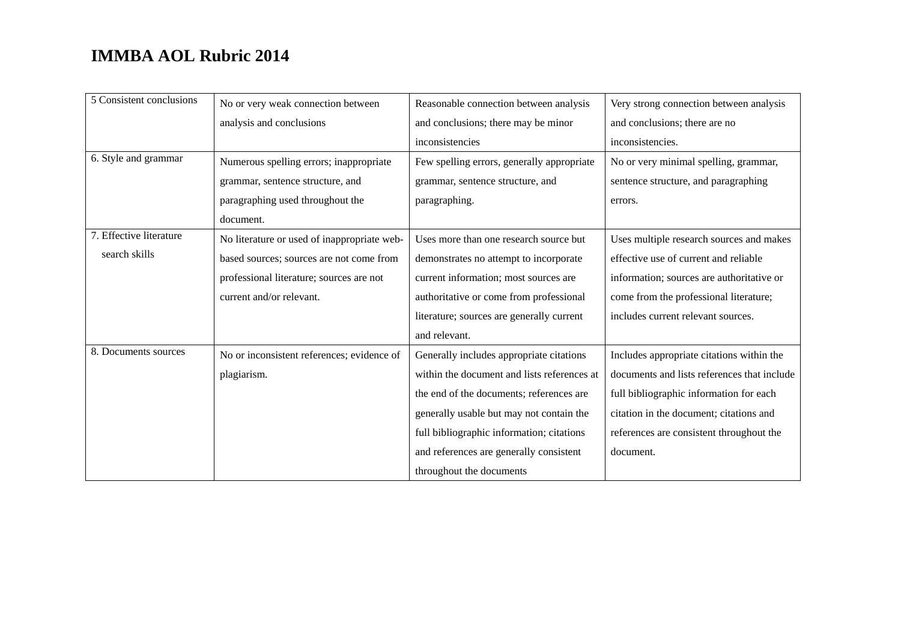| 5 Consistent conclusions | No or very weak connection between          | Reasonable connection between analysis      | Very strong connection between analysis     |
|--------------------------|---------------------------------------------|---------------------------------------------|---------------------------------------------|
|                          | analysis and conclusions                    | and conclusions; there may be minor         | and conclusions; there are no               |
|                          |                                             | inconsistencies                             | inconsistencies.                            |
| 6. Style and grammar     | Numerous spelling errors; inappropriate     | Few spelling errors, generally appropriate  | No or very minimal spelling, grammar,       |
|                          | grammar, sentence structure, and            | grammar, sentence structure, and            | sentence structure, and paragraphing        |
|                          | paragraphing used throughout the            | paragraphing.                               | errors.                                     |
|                          | document.                                   |                                             |                                             |
| 7. Effective literature  | No literature or used of inappropriate web- | Uses more than one research source but      | Uses multiple research sources and makes    |
| search skills            | based sources; sources are not come from    | demonstrates no attempt to incorporate      | effective use of current and reliable       |
|                          | professional literature; sources are not    | current information; most sources are       | information; sources are authoritative or   |
|                          | current and/or relevant.                    | authoritative or come from professional     | come from the professional literature;      |
|                          |                                             | literature; sources are generally current   | includes current relevant sources.          |
|                          |                                             | and relevant.                               |                                             |
| 8. Documents sources     | No or inconsistent references; evidence of  | Generally includes appropriate citations    | Includes appropriate citations within the   |
|                          | plagiarism.                                 | within the document and lists references at | documents and lists references that include |
|                          |                                             | the end of the documents; references are    | full bibliographic information for each     |
|                          |                                             | generally usable but may not contain the    | citation in the document; citations and     |
|                          |                                             | full bibliographic information; citations   | references are consistent throughout the    |
|                          |                                             | and references are generally consistent     | document.                                   |
|                          |                                             | throughout the documents                    |                                             |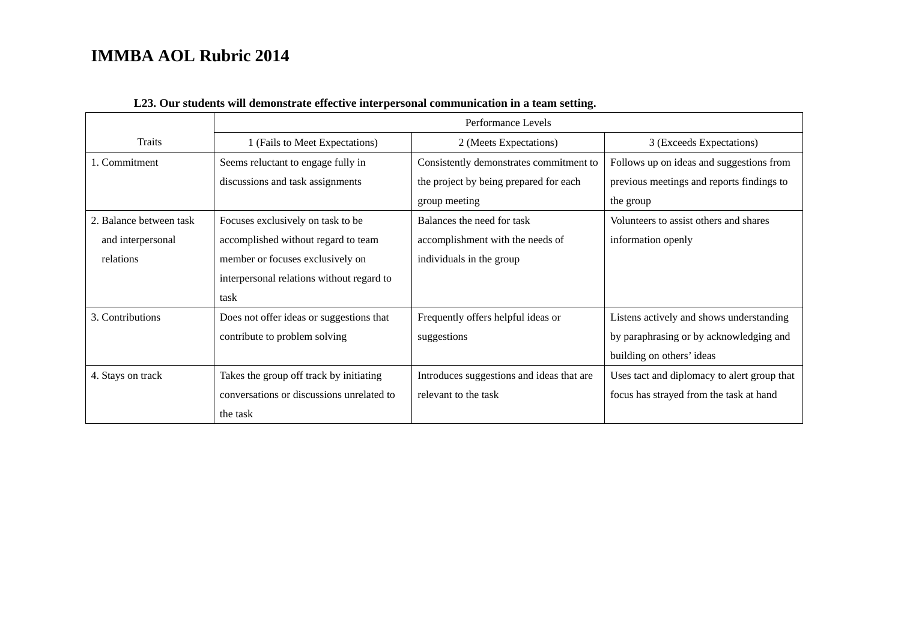|                         | Performance Levels                        |                                           |                                             |
|-------------------------|-------------------------------------------|-------------------------------------------|---------------------------------------------|
| Traits                  | 1 (Fails to Meet Expectations)            | 2 (Meets Expectations)                    | 3 (Exceeds Expectations)                    |
| 1. Commitment           | Seems reluctant to engage fully in        | Consistently demonstrates commitment to   | Follows up on ideas and suggestions from    |
|                         | discussions and task assignments          | the project by being prepared for each    | previous meetings and reports findings to   |
|                         |                                           | group meeting                             | the group                                   |
| 2. Balance between task | Focuses exclusively on task to be         | Balances the need for task                | Volunteers to assist others and shares      |
| and interpersonal       | accomplished without regard to team       | accomplishment with the needs of          | information openly                          |
| relations               | member or focuses exclusively on          | individuals in the group                  |                                             |
|                         | interpersonal relations without regard to |                                           |                                             |
|                         | task                                      |                                           |                                             |
| 3. Contributions        | Does not offer ideas or suggestions that  | Frequently offers helpful ideas or        | Listens actively and shows understanding    |
|                         | contribute to problem solving             | suggestions                               | by paraphrasing or by acknowledging and     |
|                         |                                           |                                           | building on others' ideas                   |
| 4. Stays on track       | Takes the group off track by initiating   | Introduces suggestions and ideas that are | Uses tact and diplomacy to alert group that |
|                         | conversations or discussions unrelated to | relevant to the task                      | focus has strayed from the task at hand     |
|                         | the task                                  |                                           |                                             |

#### **L23. Our students will demonstrate effective interpersonal communication in a team setting.**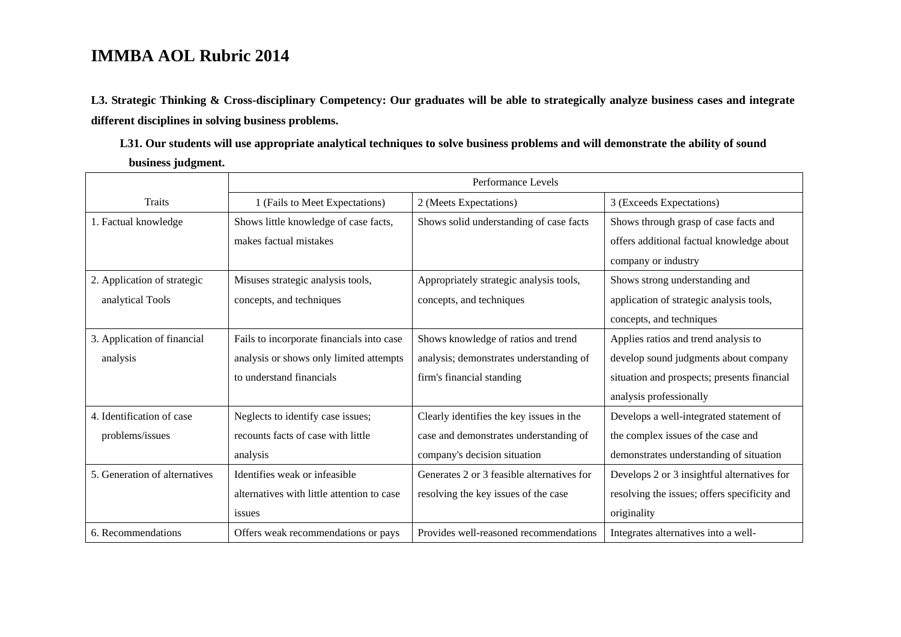**L3. Strategic Thinking & Cross-disciplinary Competency: Our graduates will be able to strategically analyze business cases and integrate different disciplines in solving business problems.** 

**L31. Our students will use appropriate analytical techniques to solve business problems and will demonstrate the ability of sound business judgment.** 

|                               | Performance Levels                         |                                            |                                              |
|-------------------------------|--------------------------------------------|--------------------------------------------|----------------------------------------------|
| <b>Traits</b>                 | 1 (Fails to Meet Expectations)             | 2 (Meets Expectations)                     | 3 (Exceeds Expectations)                     |
| 1. Factual knowledge          | Shows little knowledge of case facts,      | Shows solid understanding of case facts    | Shows through grasp of case facts and        |
|                               | makes factual mistakes                     |                                            | offers additional factual knowledge about    |
|                               |                                            |                                            | company or industry                          |
| 2. Application of strategic   | Misuses strategic analysis tools,          | Appropriately strategic analysis tools,    | Shows strong understanding and               |
| analytical Tools              | concepts, and techniques                   | concepts, and techniques                   | application of strategic analysis tools,     |
|                               |                                            |                                            | concepts, and techniques                     |
| 3. Application of financial   | Fails to incorporate financials into case  | Shows knowledge of ratios and trend        | Applies ratios and trend analysis to         |
| analysis                      | analysis or shows only limited attempts    | analysis; demonstrates understanding of    | develop sound judgments about company        |
|                               | to understand financials                   | firm's financial standing                  | situation and prospects; presents financial  |
|                               |                                            |                                            | analysis professionally                      |
| 4. Identification of case     | Neglects to identify case issues;          | Clearly identifies the key issues in the   | Develops a well-integrated statement of      |
| problems/issues               | recounts facts of case with little         | case and demonstrates understanding of     | the complex issues of the case and           |
|                               | analysis                                   | company's decision situation               | demonstrates understanding of situation      |
| 5. Generation of alternatives | Identifies weak or infeasible.             | Generates 2 or 3 feasible alternatives for | Develops 2 or 3 insightful alternatives for  |
|                               | alternatives with little attention to case | resolving the key issues of the case       | resolving the issues; offers specificity and |
|                               | issues                                     |                                            | originality                                  |
| 6. Recommendations            | Offers weak recommendations or pays        | Provides well-reasoned recommendations     | Integrates alternatives into a well-         |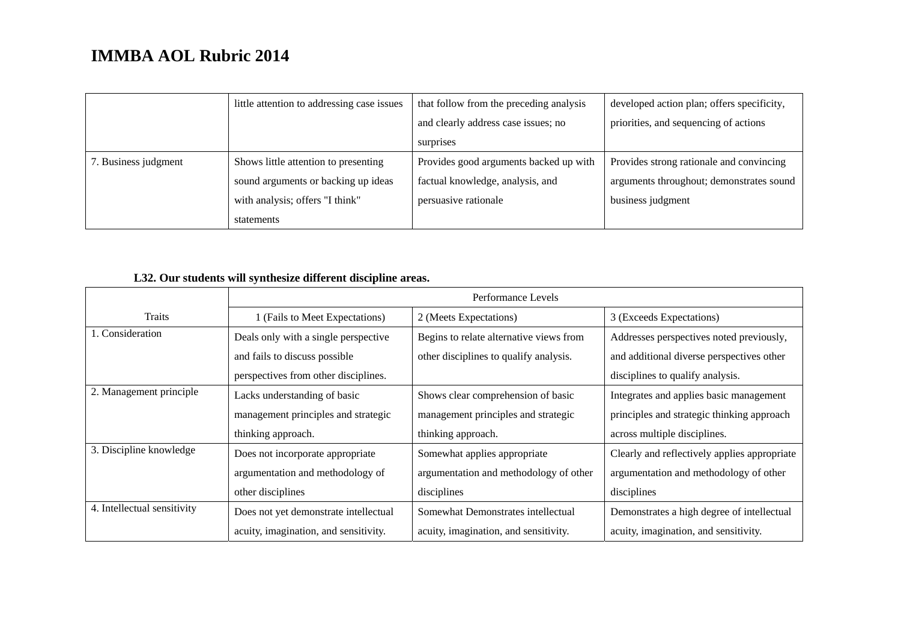|                      | little attention to addressing case issues | that follow from the preceding analysis | developed action plan; offers specificity, |
|----------------------|--------------------------------------------|-----------------------------------------|--------------------------------------------|
|                      |                                            | and clearly address case issues; no     | priorities, and sequencing of actions      |
|                      |                                            | surprises                               |                                            |
| 7. Business judgment | Shows little attention to presenting       | Provides good arguments backed up with  | Provides strong rationale and convincing   |
|                      | sound arguments or backing up ideas        | factual knowledge, analysis, and        | arguments throughout; demonstrates sound   |
|                      | with analysis; offers "I think"            | persuasive rationale                    | business judgment                          |
|                      | statements                                 |                                         |                                            |

### **L32. Our students will synthesize different discipline areas.**

|                             | Performance Levels                    |                                         |                                              |  |
|-----------------------------|---------------------------------------|-----------------------------------------|----------------------------------------------|--|
| <b>Traits</b>               | 1 (Fails to Meet Expectations)        | 2 (Meets Expectations)                  | 3 (Exceeds Expectations)                     |  |
| 1. Consideration            | Deals only with a single perspective  | Begins to relate alternative views from | Addresses perspectives noted previously,     |  |
|                             | and fails to discuss possible         | other disciplines to qualify analysis.  | and additional diverse perspectives other    |  |
|                             | perspectives from other disciplines.  |                                         | disciplines to qualify analysis.             |  |
| 2. Management principle     | Lacks understanding of basic          | Shows clear comprehension of basic      | Integrates and applies basic management      |  |
|                             | management principles and strategic   | management principles and strategic     | principles and strategic thinking approach   |  |
|                             | thinking approach.                    | thinking approach.                      | across multiple disciplines.                 |  |
| 3. Discipline knowledge     | Does not incorporate appropriate      | Somewhat applies appropriate            | Clearly and reflectively applies appropriate |  |
|                             | argumentation and methodology of      | argumentation and methodology of other  | argumentation and methodology of other       |  |
|                             | other disciplines                     | disciplines                             | disciplines                                  |  |
| 4. Intellectual sensitivity | Does not yet demonstrate intellectual | Somewhat Demonstrates intellectual      | Demonstrates a high degree of intellectual   |  |
|                             | acuity, imagination, and sensitivity. | acuity, imagination, and sensitivity.   | acuity, imagination, and sensitivity.        |  |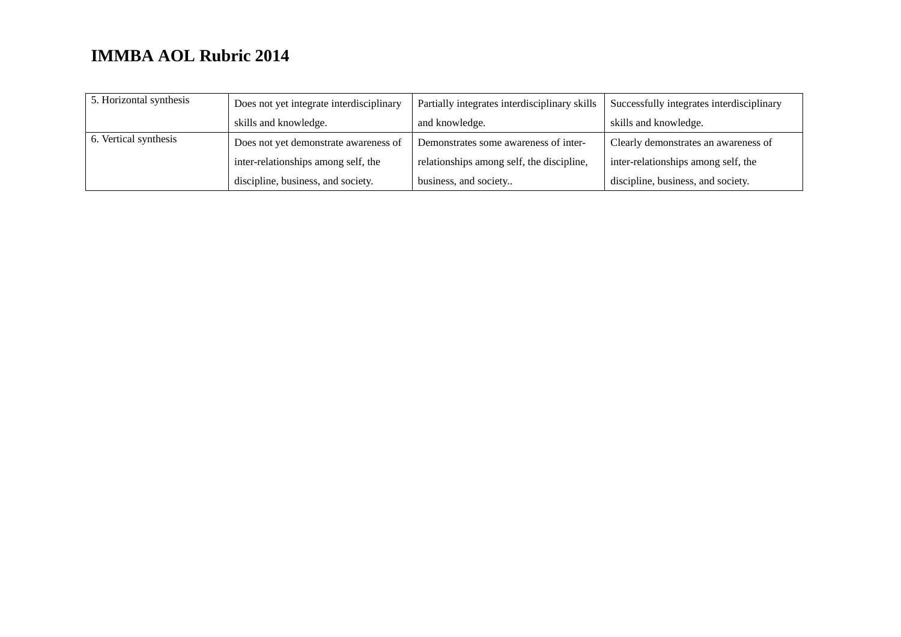| 5. Horizontal synthesis | Does not yet integrate interdisciplinary | Partially integrates interdisciplinary skills | Successfully integrates interdisciplinary |
|-------------------------|------------------------------------------|-----------------------------------------------|-------------------------------------------|
|                         | skills and knowledge.                    | and knowledge.                                | skills and knowledge.                     |
| 6. Vertical synthesis   | Does not yet demonstrate awareness of    | Demonstrates some awareness of inter-         | Clearly demonstrates an awareness of      |
|                         | inter-relationships among self, the      | relationships among self, the discipline,     | inter-relationships among self, the       |
|                         | discipline, business, and society.       | business, and society                         | discipline, business, and society.        |